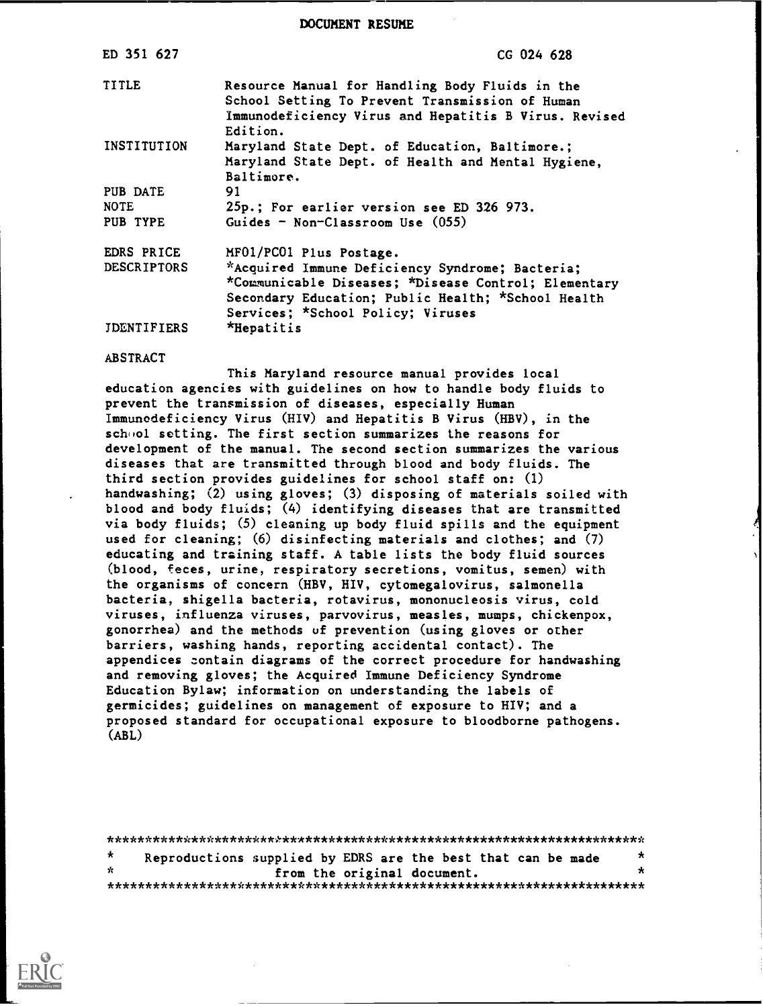DOCUMENT RESUME

| ED 351 627                          | CG 024 628                                                                                                                                                                                                                    |
|-------------------------------------|-------------------------------------------------------------------------------------------------------------------------------------------------------------------------------------------------------------------------------|
| <b>TITLE</b>                        | Resource Manual for Handling Body Fluids in the<br>School Setting To Prevent Transmission of Human<br>Immunodeficiency Virus and Hepatitis B Virus. Revised<br>Edition.                                                       |
| INSTITUTION                         | Maryland State Dept. of Education, Baltimore.;<br>Maryland State Dept. of Health and Mental Hygiene,<br>Baltimore.                                                                                                            |
| PUB DATE<br><b>NOTE</b><br>PUB TYPE | 91<br>25p.; For earlier version see ED 326 973.<br>Guides - Non-Classroom Use (055)                                                                                                                                           |
| EDRS PRICE<br>DESCRIPTORS           | MF01/PC01 Plus Postage.<br>*Acquired Immune Deficiency Syndrome; Bacteria;<br>*Communicable Diseases; *Disease Control; Elementary<br>Secondary Education; Public Health; *School Health<br>Services; *School Policy; Viruses |
| <b>IDENTIFIERS</b>                  | *Hepatitis                                                                                                                                                                                                                    |

#### ABSTRACT

This Maryland resource manual provides local education agencies with guidelines on how to handle body fluids to prevent the transmission of diseases, especially Human Immunodeficiency Virus (HIV) and Hepatitis B Virus (HBV), in the school setting. The first section summarizes the reasons for development of the manual. The second section summarizes the various diseases that are transmitted through blood and body fluids. The third section provides guidelines for school staff on: (1) handwashing; (2) using gloves; (3) disposing of materials soiled with blood and body fluids; (4) identifying diseases that are transmitted via body fluids; (5) cleaning up body fluid spills and the equipment used for cleaning; (6) disinfecting materials and clothes; and (7) educating and training staff. A table lists the body fluid sources (blood, feces, urine, respiratory secretions, vomitus, semen) with the organisms of concern (HBV, HIV, cytomegalovirus, salmonella bacteria, shigella bacteria, rotavirus, mononucleosis virus, cold viruses, influenza viruses, parvovirus, measles, mumps, chickenpox, gonorrhea) and the methods of prevention (using gloves or other barriers, washing hands, reporting accidental contact). The appendices contain diagrams of the correct procedure for handwashing and removing gloves; the Acquired Immune Deficiency Syndrome Education Bylaw; information on understanding the labels of germicides; guidelines on management of exposure to HIV; and a proposed standard for occupational exposure to bloodborne pathogens. (ABL)

\*\*\*\*\*\*\*\*\*\*\*\*\*\*\*\*\*\*\*\*\*\*\*\*\*\*\*\*\*\*\*\*\*\*\*\*\*\*\*\*\*\*\*\*\*\*\*\*\*\*\*\*\*\*\*\*\*\*\*\*\*\*\*\*\*\*\*\*\*\*\*  $\star$ Reproductions supplied by EDRS are the best that can be made  $*$ from the original document. \*\*\*\*\*\*\*\*\*\*\*\*\*\*\*\*\*\*\*\*\*\*\*\*\*\*\*\*\*\*\*\*\*\*\*\*\*\*\*\*\*\*\*\*\*\*\*\*\*\*\*\*\*\*\*\*\*\*\*\*\*\*\*\*\*\*\*\*\*\*\*

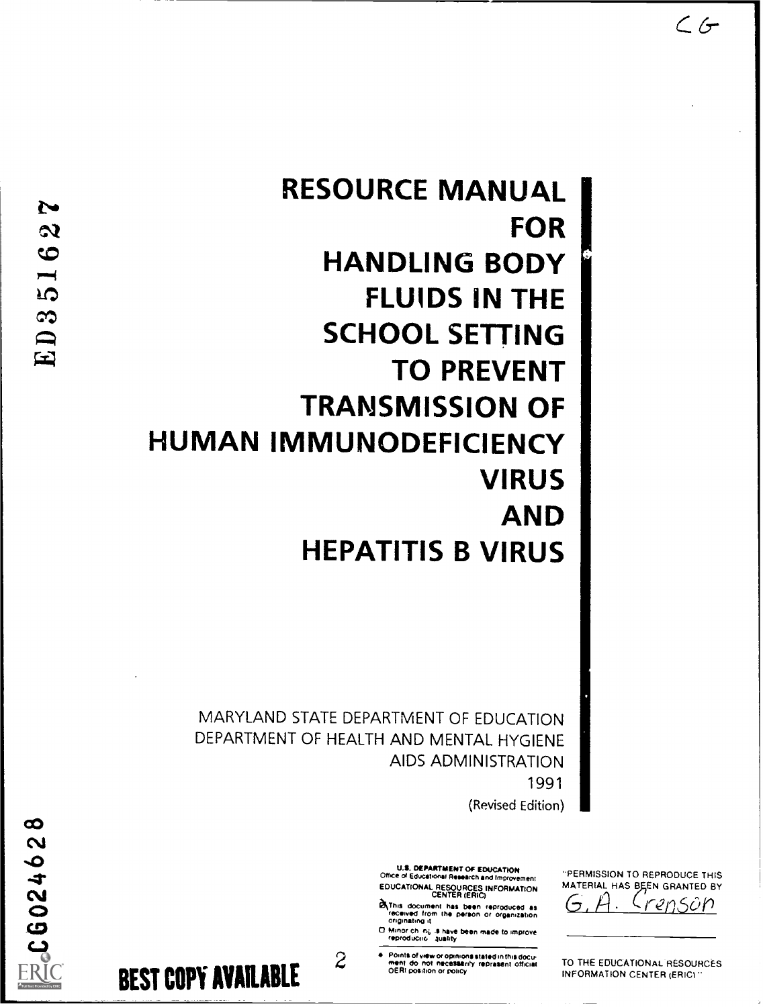# RESOURCE MANUAL FOR HANDLING BODY FLUIDS IN THE SCHOOL SETTING TO PREVENT TRANSMISSION OF HUMAN IMMUNODEFICIENCY VIRUS AND HEPATITIS B VIRUS

MARYLAND STATE DEPARTMENT OF EDUCATION DEPARTMENT OF HEALTH AND MENTAL HYGIENE AIDS ADMINISTRATION 1991

(Revised Edition)

U.S. DEPARTMENT OF EDUCATION<br>Office of Educational Research and Improvement Office of Educational Research and Improvement Text<br>EDUCATIONAL RESOURCES INFORMATION MATE<br>CENTER (ERIC)

- Let This document has been reproduced as received from the person or organization origination
- onconating it<br>
and the state of the state of the state of the state of the state of the state of the state of the state of the<br>
reproduction auality and the state of the state of the state of the state of the state of the
- ATIVE THE CONDUCTRIPS OF Points of wew or optmons stated in this document of the Second Celebrative or optics of the Second Celebrative work of position or policy

"PERMISSION TO REPRODUCE THIS MATERIAL HAS BEEN GRANTED BY

renson

TO THE EDUCATIONAL RESOURCES INFORMATION CENTER (ERIC)"

BEST COPY AVAILABLE

 $\infty$ 三、CG02462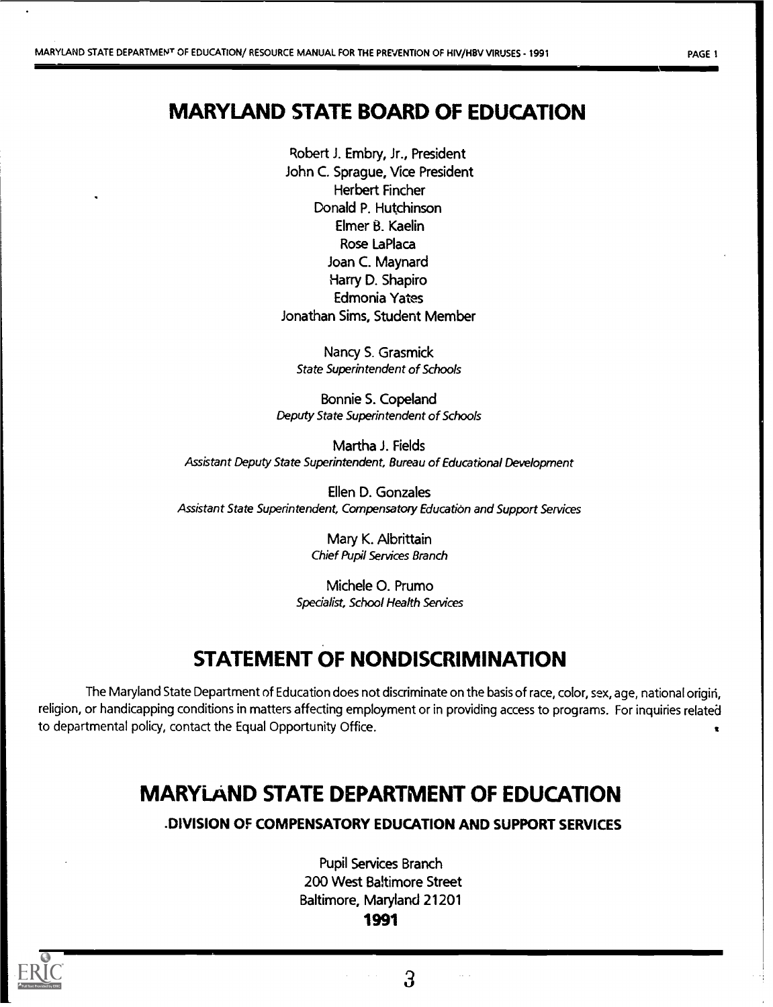## MARYLAND STATE BOARD OF EDUCATION

Robert J. Embry, Jr., President John C. Sprague, Vice President Herbert Fincher Donald P. Hutchinson Elmer B. Kaelin Rose LaPlaca Joan C. Maynard Harry D. Shapiro Edmonia Yates Jonathan Sims, Student Member

Nancy S. Grasmick State Superintendent of Schools

Bonnie S. Copeland Deputy State Superintendent of Schools

Martha J. Fields Assistant Deputy State Superintendent, Bureau of Educational Development

Ellen D. Gonzales Assistant State Superintendent, Compensatory Education and Support Services

> Mary K. Albrittain Chief Pupil Services Branch

Michele 0. Prumo Specialist, School Health Services

## STATEMENT OF NONDISCRIMINATION

The Maryland State Department of Education does not discriminate on the basis of race, color, sex, age, national origiri, religion, or handicapping conditions in matters affecting employment or in providing access to programs. For inquiries related to departmental policy, contact the Equal Opportunity Office.

## MARYLAND STATE DEPARTMENT OF EDUCATION

.DIVISION OF COMPENSATORY EDUCATION AND SUPPORT SERVICES

Pupil Services Branch 200 West Baltimore Street Baltimore, Maryland 21201 1991



moor

3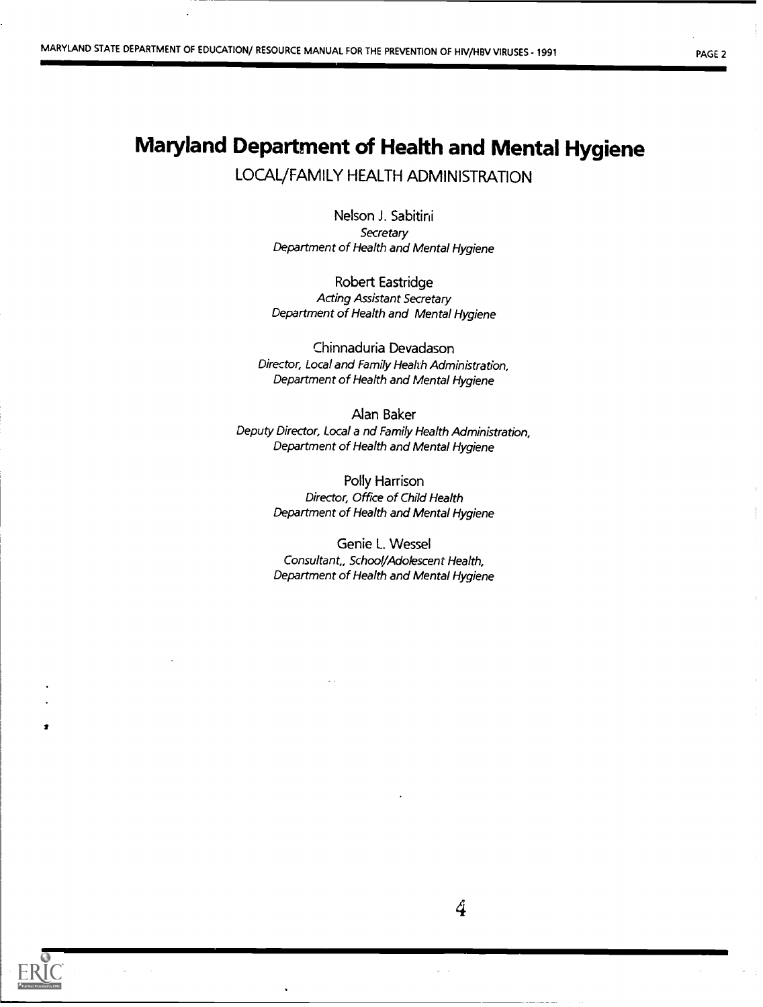## Maryland Department of Health and Mental Hygiene

LOCAL/FAMILY HEALTH ADMINISTRATION

Nelson J. Sabitini **Secretary** Department of Health and Mental Hygiene

Robert Eastridge Acting Assistant Secretary Department of Health and Mental Hygiene

Chinnaduria Devadason Director, Local and Family Health Administration, Department of Health and Mental Hygiene

Alan Baker Deputy Director, Local a nd Family Health Administration, Department of Health and Mental Hygiene

> Polly Harrison Director, Office of Child Health Department of Health and Mental Hygiene

> Genie L. Wessel Consultant,, School/Adolescent Health, Department of Health and Mental Hygiene

I

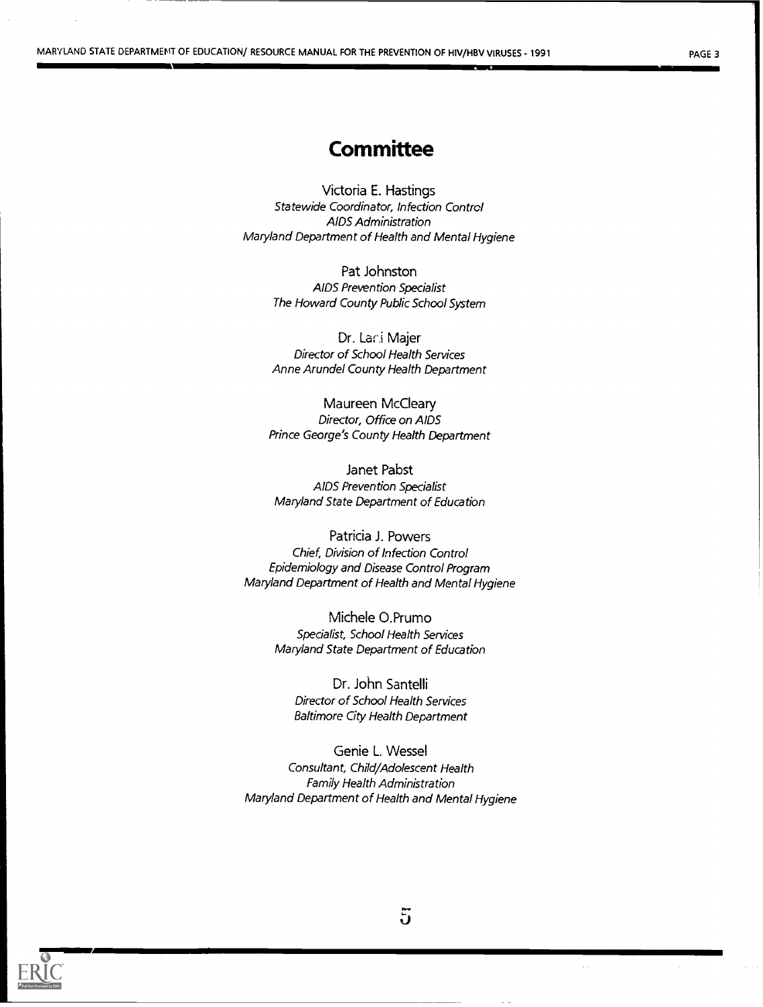## **Committee**

Victoria E. Hastings Statewide Coordinator, Infection Control AIDS Administration Maryland Department of Health and Mental Hygiene

> Pat Johnston AIDS Prevention Specialist The Howard County Public School System

> Dr. Lani Majer Director of School Health Services Anne Arundel County Health Department

Maureen McCleary Director, Office on AIDS Prince George's County Health Department

Janet Pabst AIDS Prevention Specialist Maryland State Department of Education

Patricia J. Powers Chief, Division of Infection Control Epidemiology and Disease Control Program Maryland Department of Health and Mental Hygiene

> Michele O.Prumo Specialist, School Health Services Maryland State Department of Education

Dr. John Santelli Director of School Health Services Baltimore City Health Department

Genie L. Wessel Consultant, Child/Adolescent Health Family Health Administration Maryland Department of Health and Mental Hygiene



5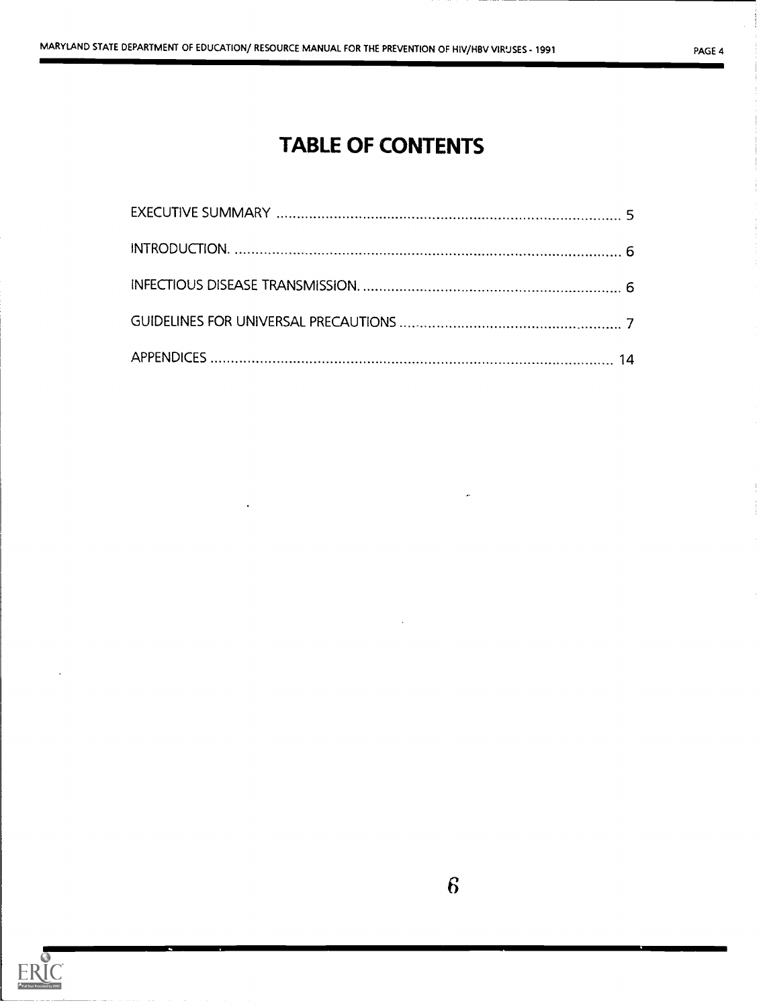## TABLE OF CONTENTS

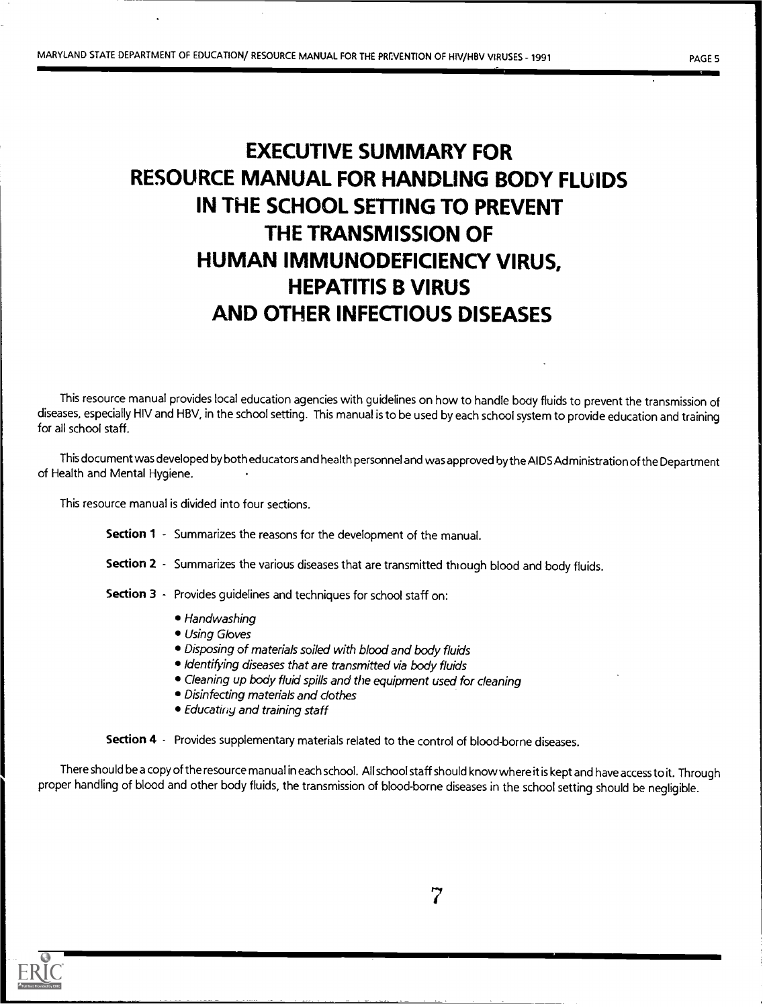## EXECUTIVE SUMMARY FOR RESOURCE MANUAL FOR HANDLING BODY FLUIDS IN THE SCHOOL SETTING TO PREVENT THE TRANSMISSION OF HUMAN IMMUNODEFICIENCY VIRUS, HEPATITIS B VIRUS AND OTHER INFECTIOUS DISEASES

This resource manual provides local education agencies with guidelines on how to handle body fluids to prevent the transmission of diseases, especially HIV and HBV, in the school setting. This manual is to be used by each school system to provide education and training for all school staff.

This documentwas developed by both educators and health personnel and was approved bythe AIDS Administration of theDepartment of Health and Mental Hygiene.

This resource manual is divided into four sections.

- Section 1 Summarizes the reasons for the development of the manual.
- Section 2 Summarizes the various diseases that are transmitted through blood and body fluids.
- Section 3 Provides guidelines and techniques for school staff on:
	- Handwashing
	- Using Gloves
	- Disposing of materials soiled with blood and body fluids
	- $\bullet$  Identifying diseases that are transmitted via body fluids
	- Cleaning up body fluid spills and the equipment used for cleaning
	- Disinfecting materials and clothes
	- Educatiny and training staff

Section 4 - Provides supplementary materials related to the control of blood-borne diseases.

There should be a copy of the resource manual in each school. All school staff should know where it is kept and have access to it. Through proper handling of blood and other body fluids, the transmission of blood-borne diseases in the school setting should be negligible.

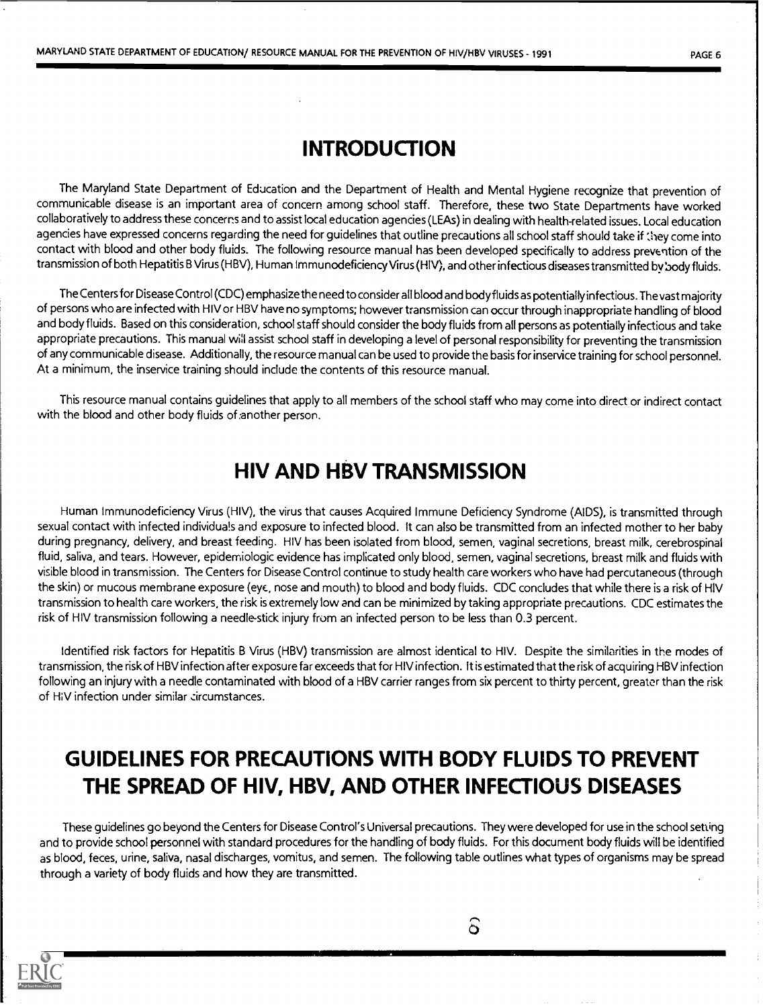## INTRODUCTION

The Maryland State Department of Education and the Department of Health and Mental Hygiene recognize that prevention of communicable disease is an important area of concern among school staff. Therefore, these two State Departments have worked collaboratively to address these concerns and to assist local education agencies (LEAs) in dealing with health-related issues. Local education agencies have expressed concerns regarding the need for guidelines that outline precautions all school staff should take if they come into contact with blood and other body fluids. The following resource manual has been developed specifically to address prevention of the transmission of both Hepatitis B Virus (HBV), Human Immunodeficiency Virus (HIV), and other infectious diseases transmitted by body fluids.

The Centers for Disease Control (CDC) emphasize the need to consider all blood and body fluids as potentially infectious. The vast majority of persons who are infected with HIV or HBV have no symptoms; however transmission can occur through inappropriate handling of blood and body fluids. Based on this consideration, school staff should consider the body fluids from all persons as potentially infectious and take appropriate precautions. This manual will assist school staff in developing a level of personal responsibility for preventing the transmission of any communicable disease. Additionally, the resource manual can be used to provide the basis for inservice training for school personnel. At a minimum, the inservice training should include the contents of this resource manual.

This resource manual contains guidelines that apply to all members of the school staff who may come into direct or indirect contact with the blood and other body fluids of another person.

## HIV AND HBV TRANSMISSION

Human Immunodeficiency Virus (HIV), the virus that causes Acquired Immune Deficiency Syndrome (AIDS), is transmitted through sexual contact with infected individuals and exposure to infected blood. It can also be transmitted from an infected mother to her baby during pregnancy, delivery, and breast feeding. HIV has been isolated from blood, semen, vaginal secretions, breast milk, cerebrospinal fluid, saliva, and tears. However, epidemiologic evidence has implicated only blood, semen, vaginal secretions, breast milk and fluids with visible blood in transmission. The Centers for Disease Control continue to study health care workers who have had percutaneous (through the skin) or mucous membrane exposure (eye, nose and mouth) to blood and body fluids. CDC concludes that while there is a risk of HIV transmission to health care workers, the risk is extremely low and can be minimized by taking appropriate precautions. CDC estimates the risk of HIV transmission following a needle-stick injury from an infected person to be less than 0.3 percent.

Identified risk factors for Hepatitis B Virus (HBV) transmission are almost identical to HIV. Despite the similarities in the modes of transmission, the risk of HBV infection after exposure far exceeds that for HIV infection. It is estimated that the risk of acquiring HBV infection following an injury with a needle contaminated with blood of a HBV carrier ranges from six percent to thirty percent, greater than the risk of HIV infection under similar circumstances.

## GUIDELINES FOR PRECAUTIONS WITH BODY FLUIDS TO PREVENT THE SPREAD OF HIV, HBV, AND OTHER INFECTIOUS DISEASES

These guidelines go beyond the Centers for Disease Control's Universal precautions. They were developed for use in the school setting and to provide school personnel with standard procedures for the handling of body fluids. For this document body fluids will be identified as blood, feces, urine, saliva, nasal discharges, vomitus, and semen. The following table outlines what types of organisms may be spread through a variety of body fluids and how they are transmitted.

 $\widehat{\delta}$ 

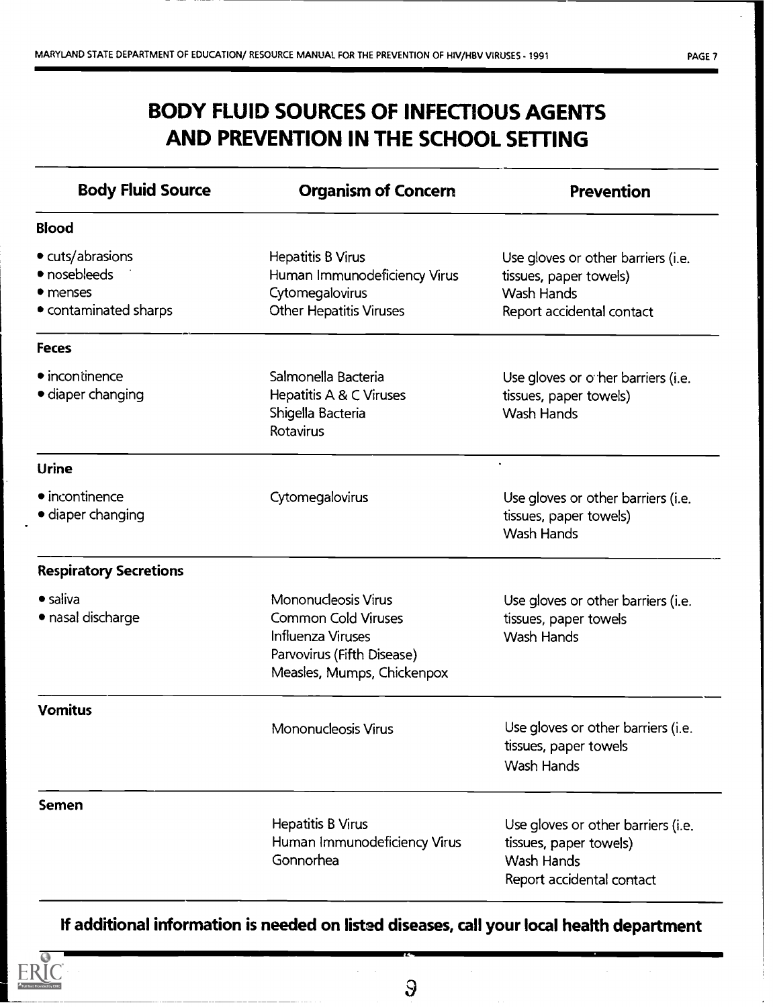## BODY FLUID SOURCES OF INFECTIOUS AGENTS AND PREVENTION IN THE SCHOOL SETTING

| <b>Body Fluid Source</b>                                              | <b>Organism of Concern</b>                                                                                                         | <b>Prevention</b>                                                                                       |  |
|-----------------------------------------------------------------------|------------------------------------------------------------------------------------------------------------------------------------|---------------------------------------------------------------------------------------------------------|--|
| <b>Blood</b>                                                          |                                                                                                                                    |                                                                                                         |  |
| • cuts/abrasions<br>• nosebleeds<br>• menses<br>• contaminated sharps | <b>Hepatitis B Virus</b><br>Human Immunodeficiency Virus<br>Cytomegalovirus<br>Other Hepatitis Viruses                             | Use gloves or other barriers (i.e.<br>tissues, paper towels)<br>Wash Hands<br>Report accidental contact |  |
| <b>Feces</b>                                                          |                                                                                                                                    |                                                                                                         |  |
| • incontinence<br>• diaper changing                                   | Salmonella Bacteria<br>Hepatitis A & C Viruses<br>Shigella Bacteria<br>Rotavirus                                                   | Use gloves or o her barriers (i.e.<br>tissues, paper towels)<br>Wash Hands                              |  |
| Urine                                                                 |                                                                                                                                    |                                                                                                         |  |
| • incontinence<br>• diaper changing                                   | Cytomegalovirus                                                                                                                    | Use gloves or other barriers (i.e.<br>tissues, paper towels)<br>Wash Hands                              |  |
| <b>Respiratory Secretions</b>                                         |                                                                                                                                    |                                                                                                         |  |
| $\bullet$ saliva<br>· nasal discharge                                 | Mononucleosis Virus<br><b>Common Cold Viruses</b><br>Influenza Viruses<br>Parvovirus (Fifth Disease)<br>Measles, Mumps, Chickenpox | Use gloves or other barriers (i.e.<br>tissues, paper towels<br>Wash Hands                               |  |
| <b>Vomitus</b>                                                        | Mononucleosis Virus                                                                                                                | Use gloves or other barriers (i.e.<br>tissues, paper towels<br>Wash Hands                               |  |
| <b>Semen</b>                                                          |                                                                                                                                    |                                                                                                         |  |
|                                                                       | <b>Hepatitis B Virus</b><br>Human Immunodeficiency Virus<br>Gonnorhea                                                              | Use gloves or other barriers (i.e.<br>tissues, paper towels)<br>Wash Hands<br>Report accidental contact |  |

## If additional information is needed on listed diseases, call your local health department



 $\mathsf{S}$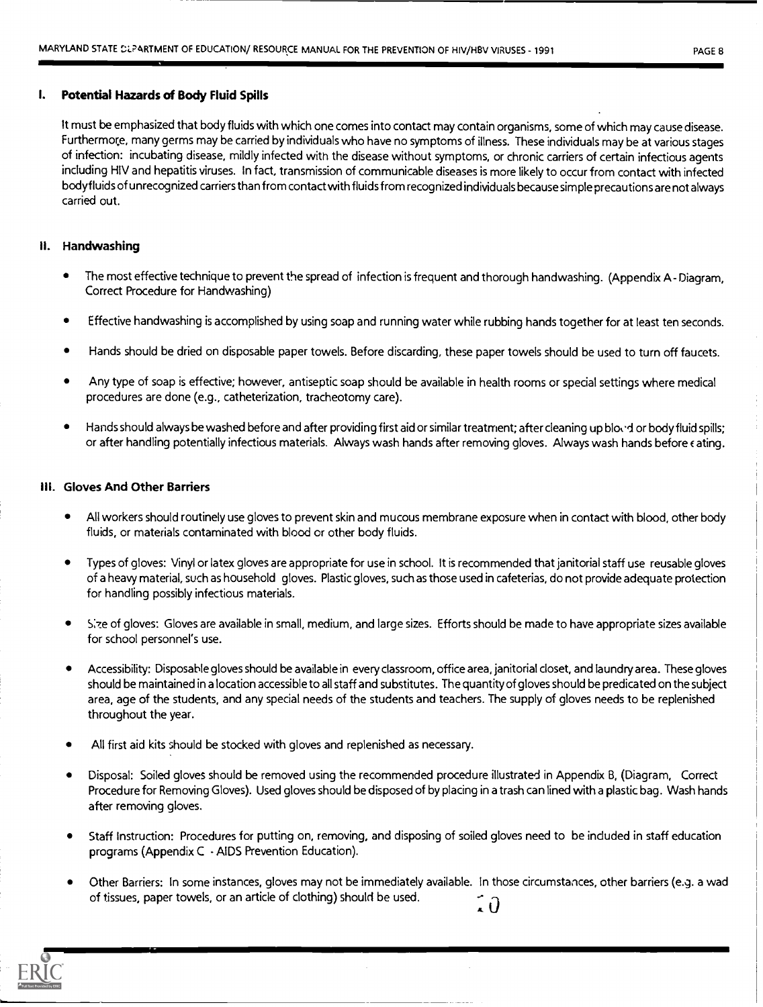#### I. Potential Hazards of Body Fluid Spills

It must be emphasized that body fluids with which one comes into contact may contain organisms, some of which maycause disease. Furthermore, many germs may be carried by individuals who have no symptoms of illness. These individuals may be at various stages of infection: incubating disease, mildly infected with the disease without symptoms, or chronic carriers of certain infectious agents including HIV and hepatitis viruses. In fact, transmission of communicable diseases is more likely to occur from contact with infected bodyfluids of unrecognized carriers than from contact with fluids from recognized individuals because simple precautions are not always carried out.

### II. Handwashing

- The most effective technique to prevent the spread of infection is frequent and thorough handwashing. (Appendix A- Diagram, Correct Procedure for Handwashing)
- Effective handwashing is accomplished by using soap and running water while rubbing hands together for at least ten seconds.
- Hands should be dried on disposable paper towels. Before discarding, these paper towels should be used to turn off faucets.
- Any type of soap is effective; however, antiseptic soap should be available in health rooms or special settings where medical procedures are done (e.g., catheterization, tracheotomy care).
- Hands should always be washed before and after providing first aid or similar treatment; after cleaning up bloted or body fluid spills; or after handling potentially infectious materials. Always wash hands after removing gloves. Always wash hands before  $\epsilon$  ating.

#### Gloves And Other Barriers

- All workers should routinely use gloves to prevent skin and mucous membrane exposure when in contact with blood, other body fluids, or materials contaminated with blood or other body fluids.
- Types of gloves: Vinyl or latex gloves are appropriate for use in school. It is recommended that janitorial staff use reusable gloves of a heavy material, such as household gloves. Plastic gloves, such as those used in cafeterias, do not provide adequate protection for handling possibly infectious materials.
- S:7:e of gloves: Gloves are available in small, medium, and large sizes. Efforts should be made to have appropriate sizes available for school personnel's use.
- Accessibility: Disposable gloves should be available in every classroom, office area, janitorial closet, and laundry area. These gloves should be maintained in a location accessible to all staff and substitutes. The quantity of gloves should be predicated on the subject area, age of the students, and any special needs of the students and teachers. The supply of gloves needs to be replenished throughout the year.
- All first aid kits should be stocked with gloves and replenished as necessary.
- Disposal: Soiled gloves should be removed using the recommended procedure illustrated in Appendix B, (Diagram, Correct Procedure for Removing Gloves). Used gloves should be disposed of by placing in a trash can lined with a plastic bag. Wash hands after removing gloves.
- Staff Instruction: Procedures for putting on, removing, and disposing of soiled gloves need to be included in staff education programs (Appendix C - AIDS Prevention Education).
- Other Barriers: In some instances, gloves may not be immediately available. In those circumstances, other barriers (e.g. a wad of tissues, paper towels, or an article of clothing) should be used.. ក

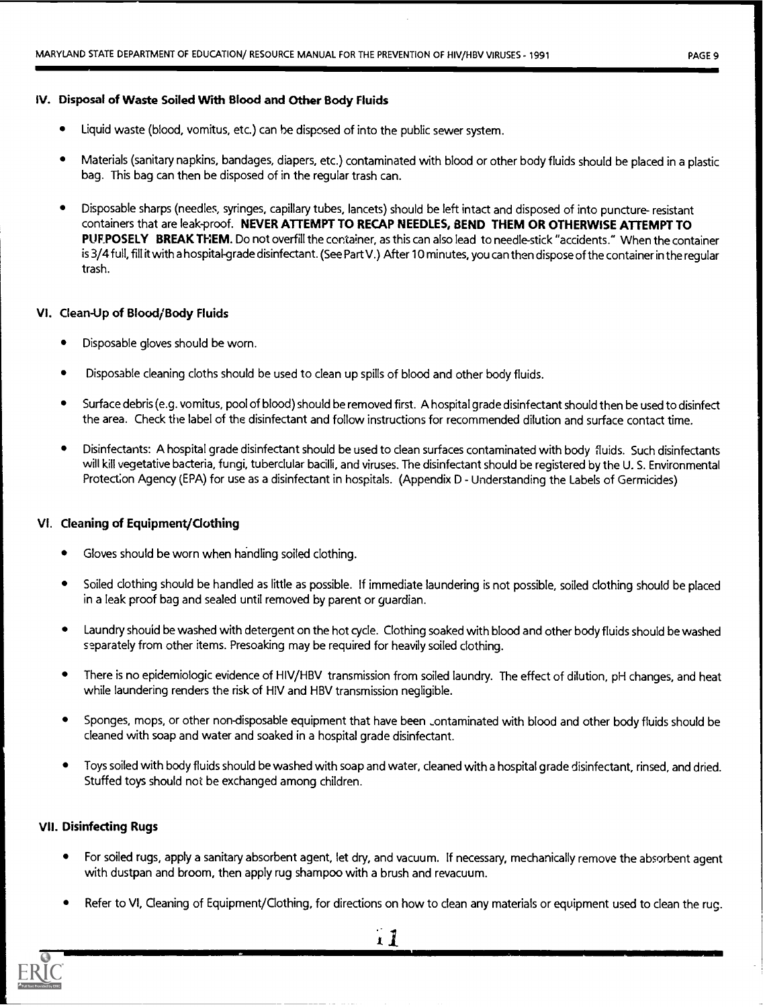## IV. Disposal of Waste Soiled With Blood and Other Body Fluids

- Liquid waste (blood, vomitus, etc.) can be disposed of into the public sewer system.
- Materials (sanitary napkins, bandages, diapers, etc.) contaminated with blood or other body fluids should be placed in a plastic bag. This bag can then be disposed of in the regular trash can.
- Disposable sharps (needles, syringes, capillary tubes, lancets) should be left intact and disposed of into puncture- resistant containers that are leak-proof. NEVER ATTEMPT TO RECAP NEEDLES, BEND THEM OR OTHERWISE ATTEMPT TO PUF.POSELY BREAK THEM. Do not overfill the container, as this can also lead to needle-stick "accidents." When the container is 3/4 full, fill it with a hospital-grade disinfectant. (See Part V.) After 10 minutes, you can then dispose of the container in the regular trash.

### VI. Clean-Up of Blood/Body Fluids

- Disposable gloves should be worn.
- Disposable cleaning cloths should be used to clean up spills of blood and other body fluids.
- Surface debris (e.g. vomitus, pool of blood) should be removed first. A hospital grade disinfectant should then be used to disinfect the area. Check the label of the disinfectant and follow instructions for recommended dilution and surface contact time.
- Disinfectants: A hospital grade disinfectant should be used to clean surfaces contaminated with body fluids. Such disinfectants will kill vegetative bacteria, fungi, tuberclular bacilli, and viruses. The disinfectant should be registered by the U. S. Environmental Protection Agency (EPA) for use as a disinfectant in hospitals. (Appendix D - Understanding the Labels of Germicides)

## VI. Cleaning of Equipment/Clothing

- Gloves should be worn when handling soiled clothing.
- Soiled clothing should be handled as little as possible. If immediate laundering is not possible, soiled clothing should be placed in a leak proof bag and sealed until removed by parent or guardian.
- Laundry shouid be washed with detergent on the hot cycle. Clothing soaked with blood and other body fluids should be washed separately from other items. Presoaking may be required for heavily soiled clothing.
- There is no epidemiologic evidence of HIV/HBV transmission from soiled laundry. The effect of dilution, pH changes, and heat while laundering renders the risk of HIV and HBV transmission negligible.
- Sponges, mops, or other non-disposable equipment that have been \_ontaminated with blood and other body fluids should be cleaned with soap and water and soaked in a hospital grade disinfectant.
- Toys soiled with body fluids should be washed with soap and water, cleaned with a hospital grade disinfectant, rinsed, and dried. Stuffed toys should not be exchanged among children.

## VII. Disinfecting Rugs

- For soiled rugs, apply a sanitary absorbent agent, let dry, and vacuum. If necessary, mechanically remove the absorbent agent with dustpan and broom, then apply rug shampoo with a brush and revacuum.
- Refer to VI, Cleaning of Equipment/Clothing, for directions on how to clean any materials or equipment used to clean the rug.

Y.

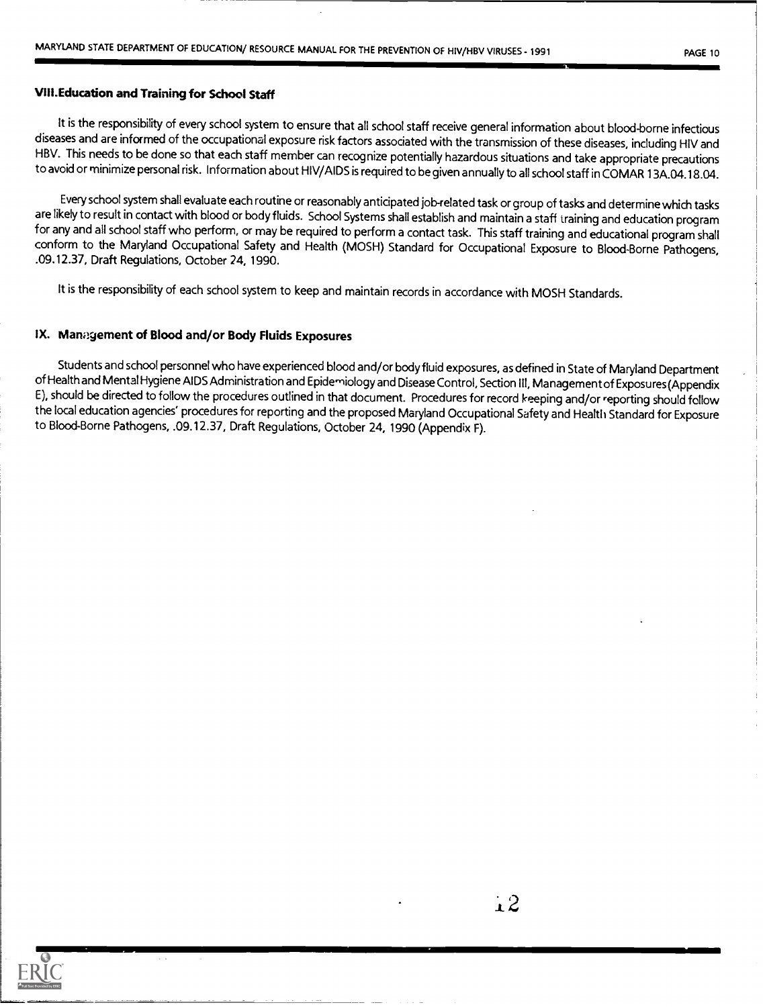#### VIII.Education and Training for School Staff

It is the responsibility of every school system to ensure that all school staff receive general information about blood-borne infectious diseases and are informed of the occupational exposure risk factors associatedwith the transmission of these diseases, including HIV and HBV. This needs to be done so that each staff member can recognize potentiallyhazardous situations and take appropriate precautions to avoid or minimize personal risk. Information about HIV/AIDS is required to be given annuallyto all school staff in COMAR 13A.04.18.04.

Every school system shall evaluate each routine or reasonably anticipated job-related task or group of tasks and determine which tasks are likely to result in contact with blood or body fluids. School Systems shall establish and maintaina staff training and education program for any and all school staff who perform, or may be required to performa contact task. This staff training and educational program shall conform to the Maryland Occupational Safety and Health (MOSH) Standard for Occupational Exposure to Blood-Borne Pathogens,<br>.09.12.37, Draft Regulations, October 24, 1990.

It is the responsibility of each school system to keep and maintain records in accordance with MOSH Standards.

### IX. Management of Blood and/or Body Fluids Exposures

Students and school personnel who have experienced blood and/or body fluid exposures, as defined in State of Maryland Department of Health and Mental Hygiene AIDS Administration and Epidemiology and Disease Control, Section III, Management of Exposures (Appendix E), should be directed to follow the procedures outlined in that document. Procedures for record keeping and/or reporting should follow the local education agencies' procedures for reporting and the proposed Maryland Occupational Safety and Healtli Standard for Exposure to Blood-Borne Pathogens, .09.12.37, Draft Regulations, October 24, 1990 (Appendix F).

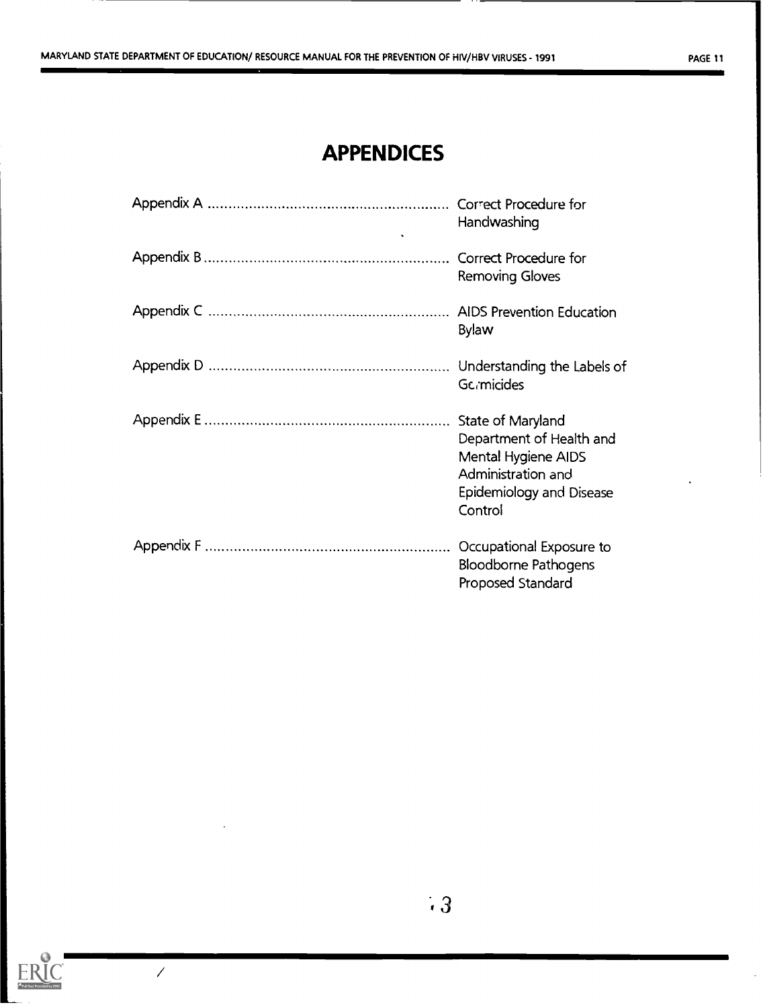## APPENDICES

| Handwashing                                                                                                                       |
|-----------------------------------------------------------------------------------------------------------------------------------|
| <b>Removing Gloves</b>                                                                                                            |
| <b>Bylaw</b>                                                                                                                      |
| <b>Gc</b> <sub>i</sub> micides                                                                                                    |
| State of Maryland<br>Department of Health and<br>Mental Hygiene AIDS<br>Administration and<br>Epidemiology and Disease<br>Control |
| Occupational Exposure to<br><b>Bloodborne Pathogens</b><br>Proposed Standard                                                      |



 $\overline{\mathscr{C}}$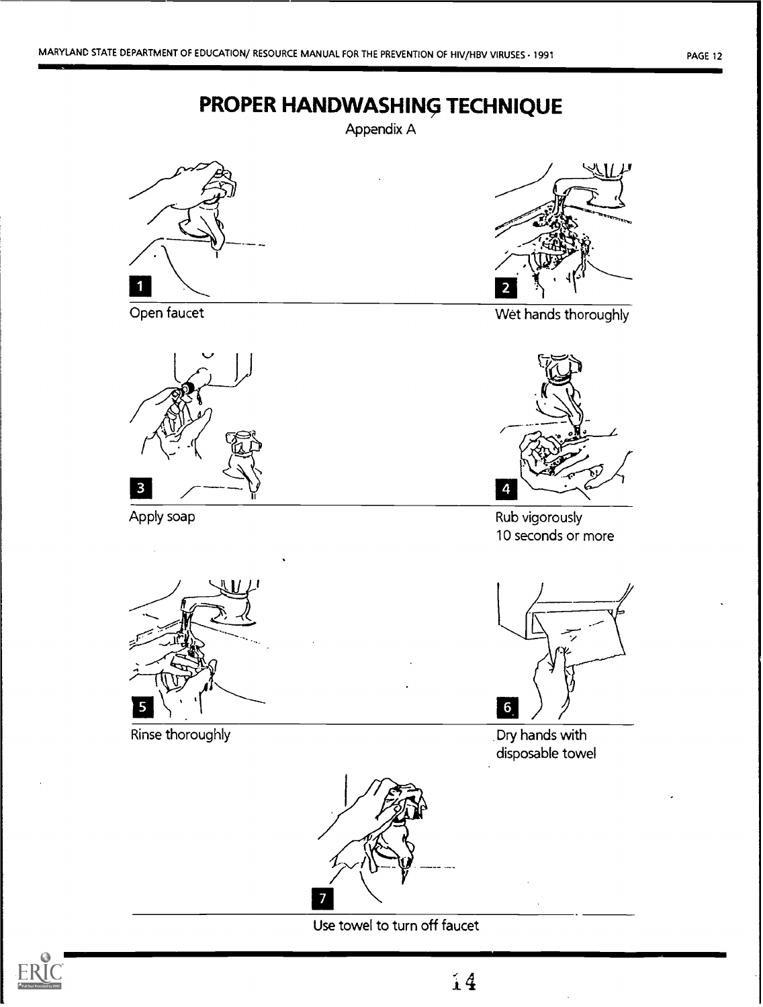

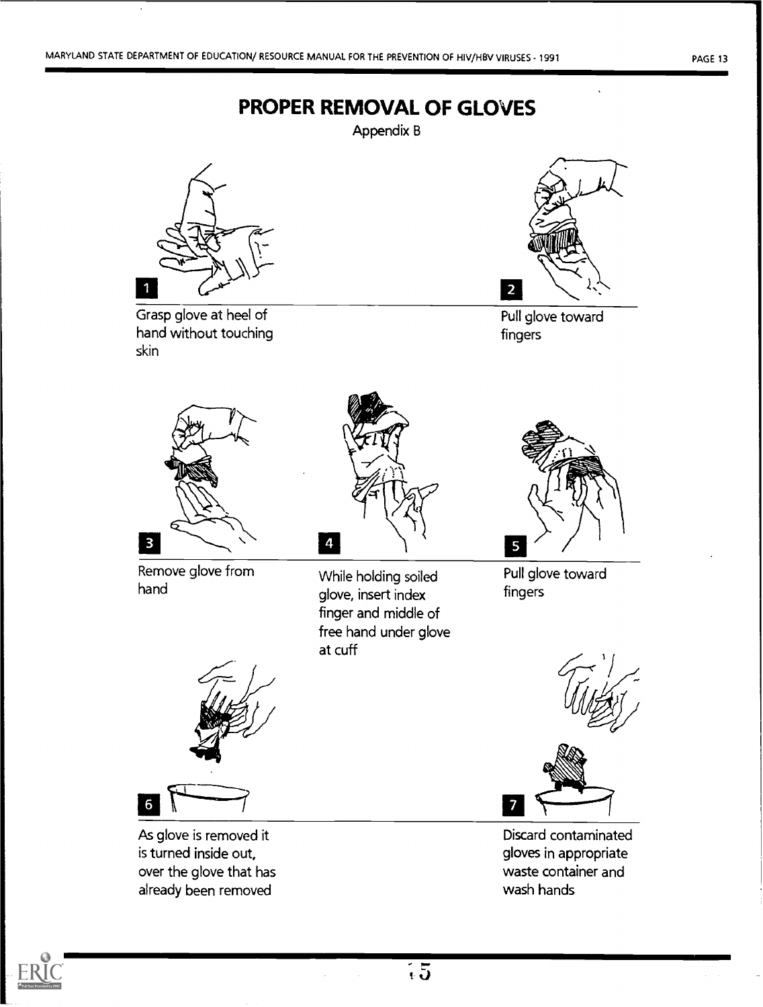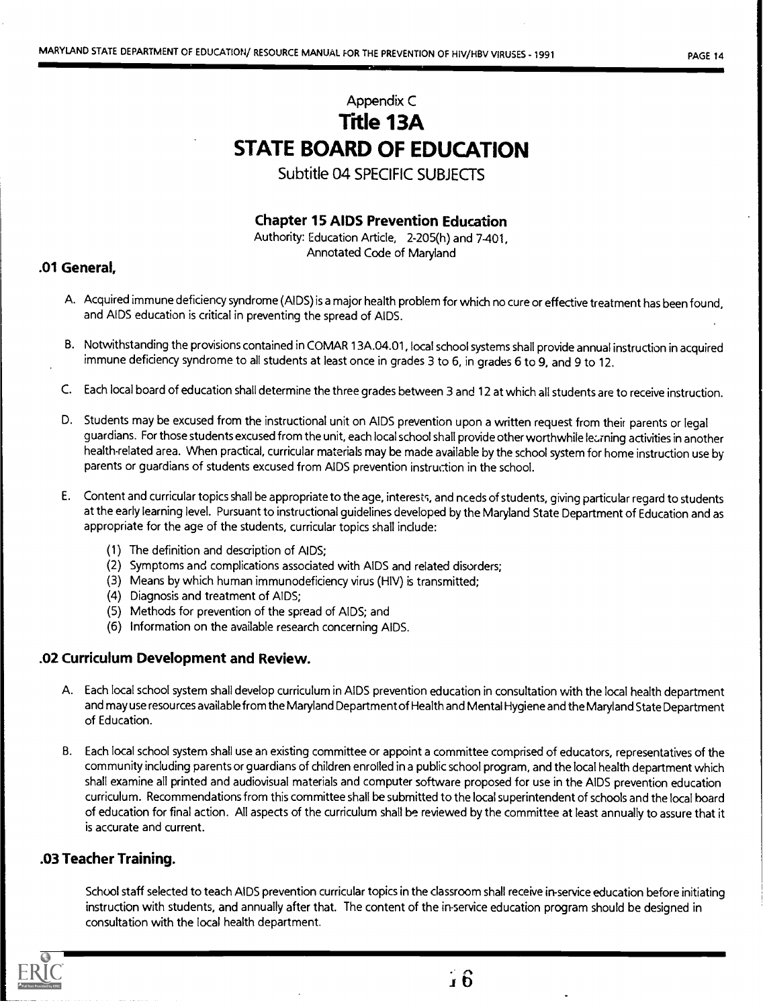## Appendix C Title 13A STATE BOARD OF EDUCATION

Subtitle 04 SPECIFIC SUBJECTS

Chapter 15 AIDS Prevention Education

Authority: Education Article, 2-205(h) and 7-401, Annotated Code of Maryland

## .01 General,

- A. Acquired immune deficiency syndrome (AIDS) is a major health problem for which no cure or effective treatment has been found, and AIDS education is critical in preventing the spread of AIDS.
- B. Notwithstanding the provisions contained in COMAR 13A.04.01, local school systems shall provide annual instruction in acquired immune deficiency syndrome to all students at least once in grades 3 to 6, in grades 6 to 9, and 9 to 12.
- C. Each local board of education shall determine the three grades between 3 and 12 at which all students are to receive instruction.
- D. Students may be excused from the instructional unit on AIDS prevention upon a written request from their parents or legal guardians. For those students excused from the unit, each local school shall provide other worthwhile learning activities in another health-related area. When practical, curricular materials may be made available by the school system for home instruction use by parents or guardians of students excused from AIDS prevention instruction in the school.
- E. Content and curricular topics shall be appropriate to the age, interests, and nceds of students, giving particular regard to students at the early learning level. Pursuant to instructional guidelines developed by the Maryland State Department of Education and as appropriate for the age of the students, curricular topics shall include:
	- (1) The definition and description of AIDS;
	- (2) Symptoms and complications associated with AIDS and related disorders;
	- (3) Means by which human immunodeficiency virus (HIV) is transmitted;
	- (4) Diagnosis and treatment of AIDS;
	- (5) Methods for prevention of the spread of AIDS; and
	- (6) Information on the available research concerning AIDS.

## .02 Curriculum Development and Review.

- A. Each local school system shall develop curriculum in AIDS prevention education in consultation with the local health department and may use resources availablefrom the Maryland Department of Health and Mental Hygiene and the Maryland State Department of Education.
- B. Each local school system shall use an existing committee or appoint a committee comprised of educators, representatives of the community including parents or guardians of children enrolled in a public school program, and the local health department which shall examine all printed and audiovisual materials and computer software proposed for use in the AIDS prevention education curriculum. Recommendations from this committee shall be submitted to the local superintendent of schools and the local board of education for final action. All aspects of the curriculum shall be reviewed by the committee at least annually to assure that it is accurate and current.

## .03 Teacher Training.

School staff selected to teach AIDS prevention curricular topics in the classroom shall receive in-service education before initiating instruction with students, and annually after that. The content of the in-service education program should be designed in consultation with the local health department.

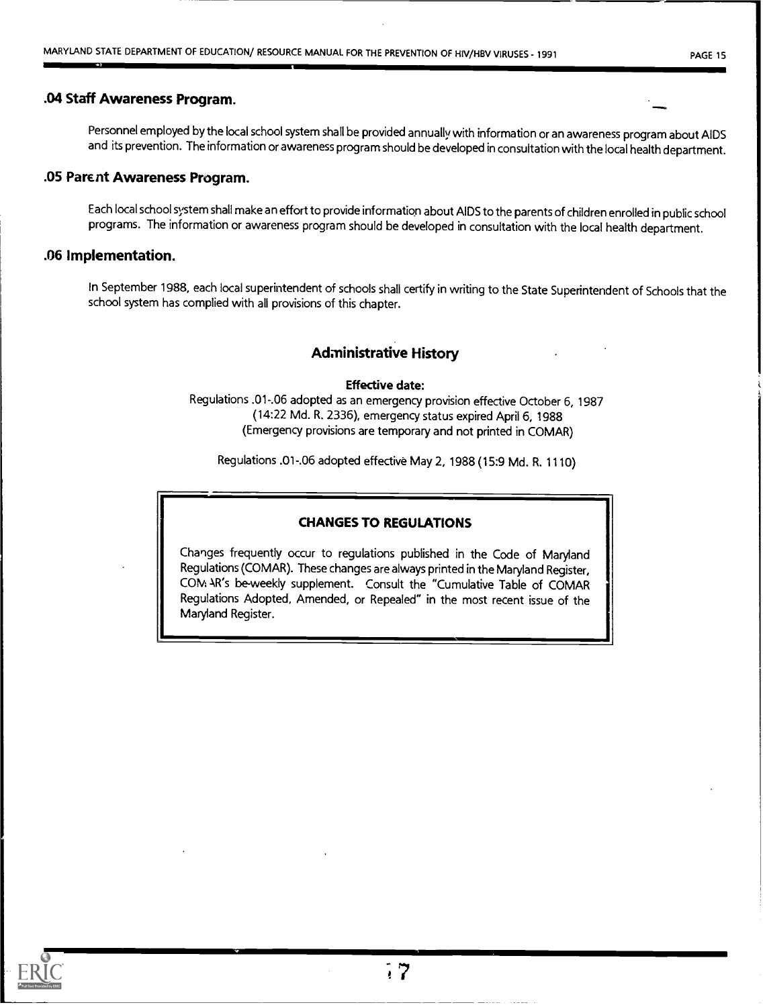4101111

## .04 Staff Awareness Program.

Personnel employed by the local school system shall be provided annually with information or an awareness program about AIDS and its prevention. The information or awareness program should be developed in consultation with the local health department.

## .05 Parent Awareness Program.

Each local school system shall make an effort to provide information about AIDS to the parents of childrenenrolled in public school programs. The information or awareness program should be developed in consultation with the local health department.

### .06 Implementation.

In September 1988, each local superintendent of schools shall certify in writing to the State Superintendent of Schools that the school system has complied with all provisions of this chapter.

## Administrative History

### Effective date:

Regulations .01-.06 adopted as an emergency provision effective October 6, 1987 (14:22 Md. R. 2336), emergency status expired April 6, 1988 (Emergency provisions are temporary and not printed in COMAR)

Regulations .01-.06 adopted effective May 2, 1988 (15:9 Md. R. 1110)

## CHANGES TO REGULATIONS

Changes frequently occur to regulations published in the Code of Maryland Regulations (COMAR). These changes are always printed in the Maryland Register, CM: AR's be-weekly supplement. Consult the "Cumulative Table of COMAR Regulations Adopted, Amended, or Repealed" in the most recent issue of the Maryland Register.

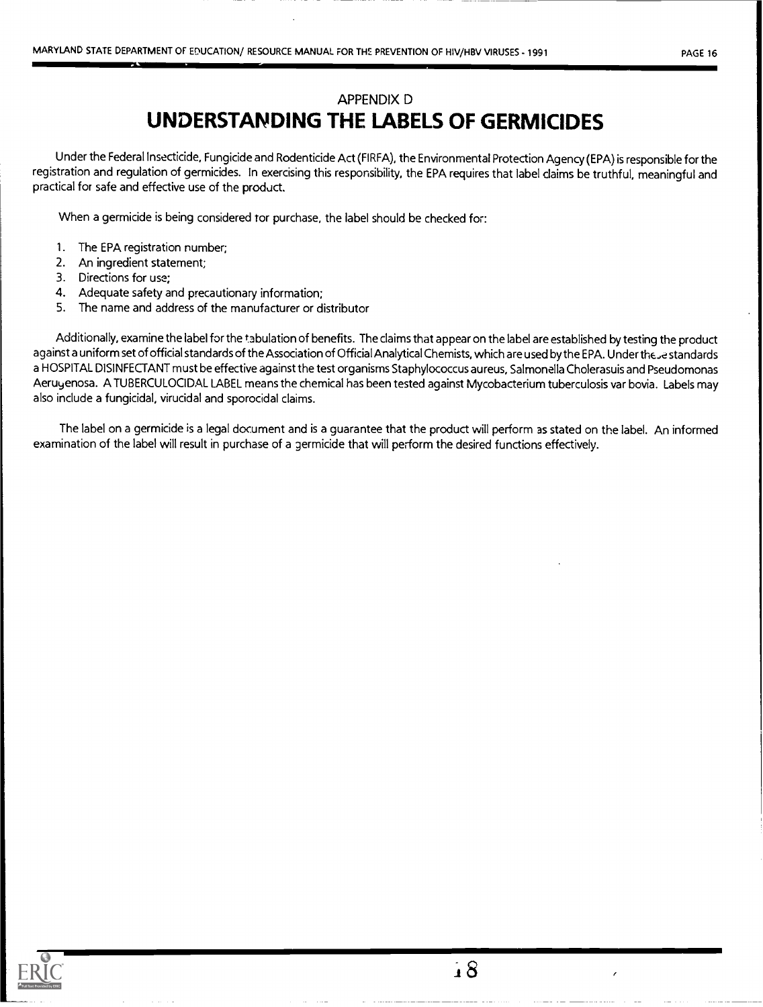## APPENDIX D UNDERSTANDING THE LABELS OF GERMICIDES

Under the Federal Insecticide, Fungicide and Rodenticide Act (FIRFA), the Environmental Protection Agency (EPA) is responsible for the registration and regulation of germicides. In exercising this responsibility, the EPA requires that label claims be truthful, meaningful and practical for safe and effective use of the product.

When a germicide is being considered tor purchase, the label should be checked for:

- 1. The EPA registration number;
- 2. An ingredient statement;
- 3. Directions for use;
- 4. Adequate safety and precautionary information;
- 5. The name and address of the manufacturer or distributor

Additionally, examine the label for the tabulation of benefits. The claims that appear on the label are established by testing the product against a uniform set of official standards of the Association of Official Analytical Chemists, which are used by the EPA. Under the se standards a HOSPITAL DISINFECTANT must be effective against the test organisms Staphylococcus aureus, Salmonella Cholerasuis and Pseudomonas Aeruyenosa. A TUBERCULOCIDAL LABEL means the chemical has been tested against Mycobacterium tuberculosis var bovia. Labels may also include a fungicidal, virucidal and sporocidal claims.

The label on a germicide is a legal document and is a guarantee that the product will perform as stated on the label. An informed examination of the label will result in purchase of a germicide that will perform the desired functions effectively.

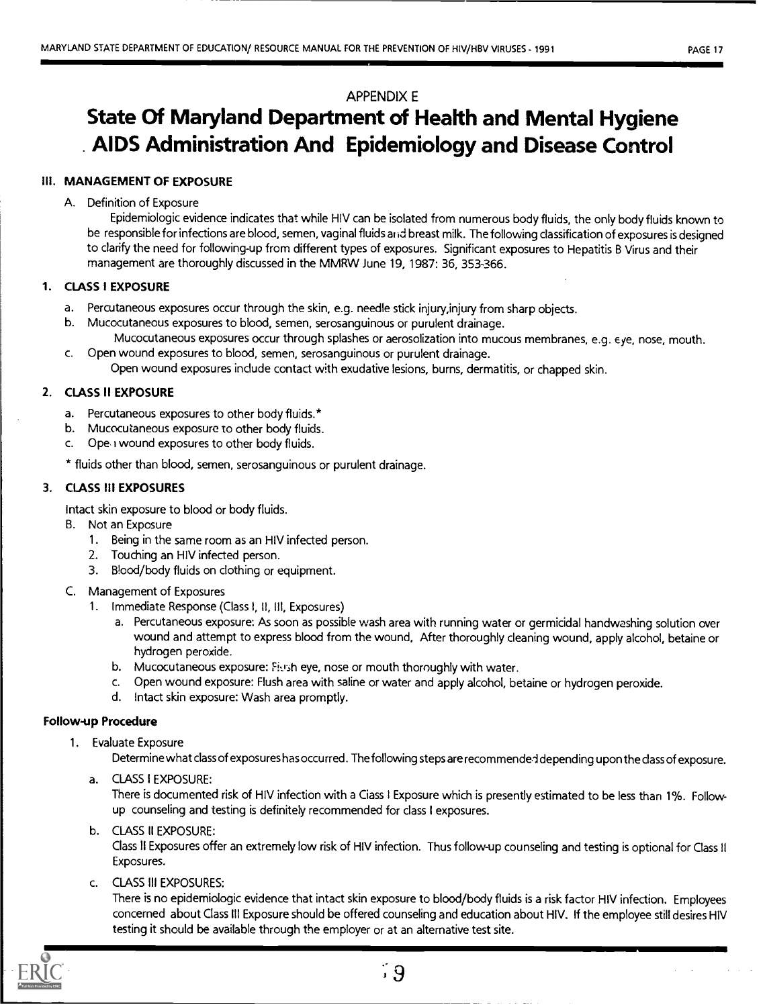## APPENDIX E

## State Of Maryland Department of Health and Mental Hygiene AIDS Administration And Epidemiology and Disease Control

## III. MANAGEMENT OF EXPOSURE

## A. Definition of Exposure

Epidemiologic evidence indicates that while HIV can be isolated from numerous body fluids, the only body fluids known to be responsible for infections are blood, semen, vaginal fluids and breast milk. The following classification of exposures is designed to clarify the need for following-up from different types of exposures. Significant exposures to Hepatitis B Virus and their management are thoroughly discussed in the MMRW June 19, 1987: 36, 353-366.

## 1. CLASS I EXPOSURE

- a. Percutaneous exposures occur through the skin, e.g. needle stick injury,injury from sharp objects.
- b. Mucocutaneous exposures to blood, semen, serosanguinous or purulent drainage. Mucocutaneous exposures occur through splashes or aerosolization into mucous membranes, e.g. eye, nose, mouth.
- c. Open wound exposures to blood, semen, serosanguinous or purulent drainage. Open wound exposures include contact with exudative lesions, burns, dermatitis, or chapped skin.

## 2. CLASS II EXPOSURE

- a. Percutaneous exposures to other body fluids.\*
- b. Mucocutaneous exposure to other body fluids.
- c. Ope, wound exposures to other body fluids.

\* fluids other than blood, semen, serosanguinous or purulent drainage.

## 3. CLASS III EXPOSURES

Intact skin exposure to blood or body fluids.

- B. Not an Exposure
	- 1. Being in the same room as an HIV infected person.
	- 2. Touching an HIV infected person.
	- 3. Blood/body fluids on clothing or equipment.
- C. Management of Exposures
	- 1. Immediate Response (Class I, II, Ill, Exposures)
		- a. Percutaneous exposure: As soon as possible wash area with running water or germicidal handwashing solution over wound and attempt to express blood from the wound, After thoroughly cleaning wound, apply alcohol, betaine or hydrogen peroxide.
		- b. Mucocutaneous exposure: Figsh eye, nose or mouth thoroughly with water.
		- c. Open wound exposure: Flush area with saline or water and apply alcohol, betaine or hydrogen peroxide.
		- d. Intact skin exposure: Wash area promptly.

## Follow-up Procedure

1. Evaluate Exposure

Determine what class of exposures has occurred. The following steps are recommenderl depending upon the class of exposure.

a. CLASS I EXPOSURE:

There is documented risk of HIV infection with a Ciass I Exposure which is presently estimated to be less than 1%. Followup counseling and testing is definitely recommended for class I exposures.

b. CLASS II EXPOSURE:

Class II Exposures offer an extremely low risk of HIV infection. Thus follow-up counseling and testing is optional for Class II Exposures.

c. CLASS III EXPOSURES:

There is no epidemiologic evidence that intact skin exposure to blood/body fluids is a risk factor HIV infection. Employees concerned about Class III Exposure should be offered counseling and education about HIV. If the employee still desires HIV testing it should be available through the employer or at an alternative test site.



,9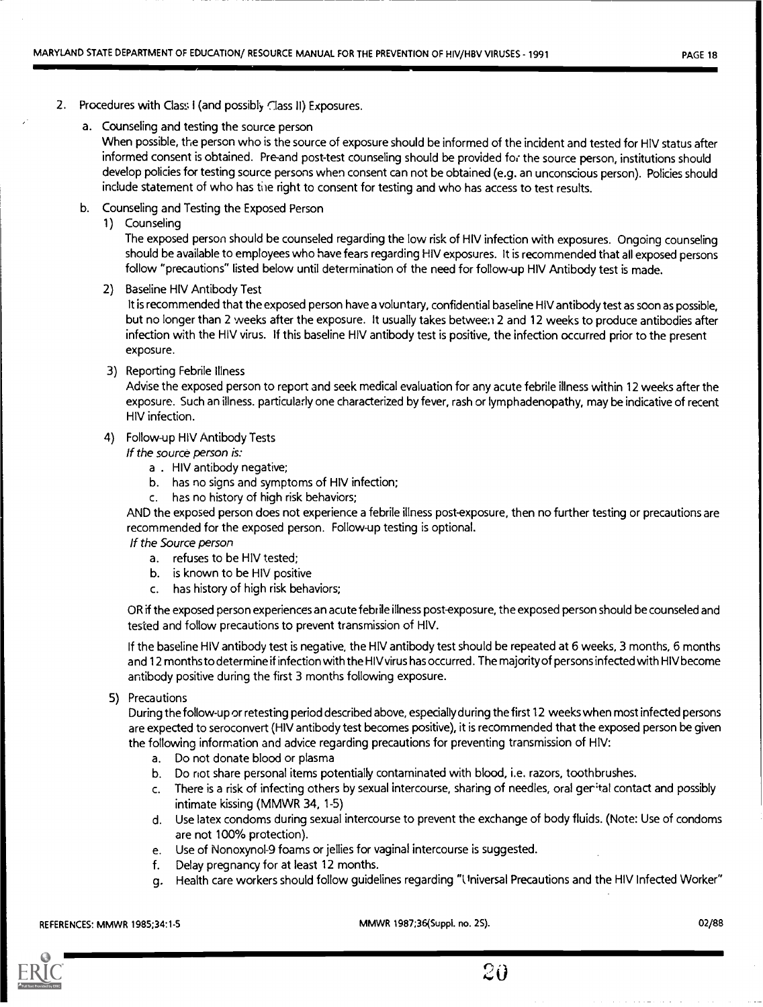- 2. Procedures with Class I (and possibly Class II) Exposures.
	- a. Counseling and testing the source person

When possible, the person who is the source of exposure should be informed of the incident and tested for HIV status after informed consent is obtained. Pre-and post-test counseling should be provided for the source person, institutions should develop policies for testing source persons when consent can not be obtained (e.g. an unconscious person). Policies should include statement of who has the right to consent for testing and who has access to test results.

- b. Counseling and Testing the Exposed Person
	- 1) Counseling

The exposed person should be counseled regarding the low risk of HIV infection with exposures. Ongoing counseling should be available to employees who have fears regarding HIV exposures. It is recommended that all exposed persons follow "precautions" listed below until determination of the need for follow-up HIV Antibody test is made.

2) Baseline HIV Antibody Test

It is recommended that the exposed person have a voluntary, confidential baseline HIV antibody test as soon as possible, but no longer than 2 weeks after the exposure. It usually takes betwee:i 2 and 12 weeks to produce antibodies after infection with the HIV virus. If this baseline HIV antibody test is positive, the infection occurred prior to the present exposure.

3) Reporting Febrile Illness

Advise the exposed person to report and seek medical evaluation for any acute febrile illness within 12 weeks after the exposure. Such an illness. particularly one characterized by fever, rash or lymphadenopathy, may be indicative of recent HIV infection.

4) Follow-up HIV Antibody Tests

If the source person is:

- a . HIV antibody negative;
- b. has no signs and symptoms of HIV infection;
- c. has no history of high risk behaviors;

AND the exposed person does not experience a febrile illness post-exposure, then no further testing or precautions are recommended for the exposed person. Follow-up testing is optional.

If the Source person

- a. refuses to be HIV tested;
- b. is known to be HIV positive
- c. has history of high risk behaviors;

OR if the exposed person experiences an acute febrile illness post-exposure, the exposed person should be counseled and tested and follow precautions to prevent transmission of HIV.

If the baseline HIV antibody test is negative, the HIV antibody test should be repeated at 6 weeks, 3 months, 6 months and 12 months to determine if infection with the HIV virus has occurred. The majority of persons infected with HIV become antibody positive during the first 3 months following exposure.

5) Precautions

During the follow-up or retesting period described above, especially during the first 12 weeks when most infected persons are expected to seroconvert (HIV antibody test becomes positive), it is recommended that the exposed person be given the following information and advice regarding precautions for preventing transmission of HIV:

- a. Do not donate blood or plasma
- b. Do riot share personal items potentially contaminated with blood, i.e. razors, toothbrushes.
- c. There is a risk of infecting others by sexual intercourse, sharing of needles, oral ger"tal contact and possibly intimate kissing (MMWR 34, 1-5)
- d. Use latex condoms during sexual intercourse to prevent the exchange of body fluids. (Note: Use of condoms are not 100% protection).
- e. Use of Nonoxynol -9 foams or jellies for vaginal intercourse is suggested.
- f. Delay pregnancy for at least 12 months.
- g. Health care workers should follow guidelines regarding "llniversal Precautions and the HIV Infected Worker"

REFERENCES: MMWR 1985;34:1-5 MMWR 1987;36(Suppl. no. 2S). 02/88



 $2\theta$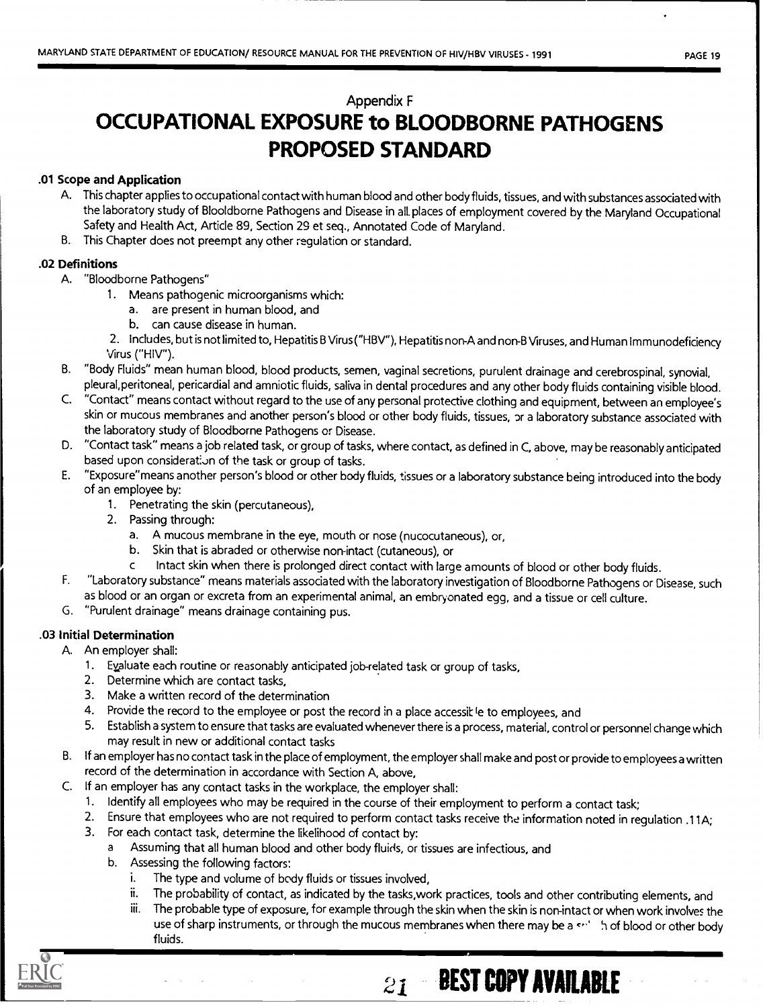## Appendix F

## OCCUPATIONAL EXPOSURE to BLOODBORNE PATHOGENS PROPOSED STANDARD

## .01 Scope and Application

- A. This chapter applies to occupational contact with human blood and other body fluids, tissues, and with substances associated with the laboratory study of Blooldborne Pathogens and Disease in all. places of employment covered by the Maryland Occupational Safety and Health Act, Article 89, Section 29 et seq., Annotated Code of Maryland.
- B. This Chapter does not preempt any other regulation or standard.

### .02 Definitions

- A. "Bloodborne Pathogens"
	- 1. Means pathogenic microorganisms which:
		- a. are present in human blood, and
		- b. can cause disease in human.
	- 2. Includes, but is not limited to, Hepatitis B Virus ("HBV"), Hepatitis non-A and non-B Viruses, and Human Immunodeficiency Virus ("HIV").
- B. "Body Fluids" mean human blood, blood products, semen, vaginal secretions, purulent drainage and cerebrospinal, synovial, pleural, peritoneal, pericardial and amniotic fluids, saliva in dental procedures and any other body fluids containing visible blood.
- C. "Contact" means contact without regard to the use of any personal protective clothing and equipment, between an employee's skin or mucous membranes and another person's blood or other body fluids, tissues, or a laboratory substance associated with the laboratory study of Bloodborne Pathogens or Disease.
- D. "Contact task" means a job related task, or group of tasks, where contact, as defined in C, above, may be reasonably anticipated based upon consideration of the task or group of tasks.
- E. "Exposure"means another person's blood or other body fluids, tissues or a laboratory substance being introduced into the body of an employee by:
	- 1. Penetrating the skin (percutaneous),
	- 2. Passing through:
		- a. A mucous membrane in the eye, mouth or nose (nucocutaneous), or,
		- b. Skin that is abraded or otherwise non-intact (cutaneous), or
		- c Intact skin when there is prolonged direct contact with large amounts of blood or other body fluids.
- F. "Laboratory substance" means materials associated with the laboratory investigation of Bloodborne Pathogens or Disease, such as blood or an organ or excreta from an experimental animal, an embryonated egg, and a tissue or cell culture.
- G. "Purulent drainage" means drainage containing pus.

## .03 Initial Determination

- A. An employer shall:
	- 1. Eyaluate each routine or reasonably anticipated job-related task or group of tasks,
	- 2. Determine which are contact tasks,
	- 3. Make a written record of the determination
	- 4. Provide the record to the employee or post the record in a place accessik le to employees, and
	- 5. Establish a system to ensure that tasks are evaluated whenever there is a process, material, control or personnel change which may result in new or additional contact tasks
- B. If an employer has no contact task in the place of employment, the employer shall make and post or provide to employees a written record of the determination in accordance with Section A, above,
- C. If an employer has any contact tasks in the workplace, the employer shall:
	- 1. Identify all employees who may be required in the course of their employment to perform a contact task;
	- 2. Ensure that employees who are not required to perform contact tasks receive the information noted in regulation .11A;
	- 3. For each contact task, determine the likelihood of contact by:
		- a Assuming that all human blood and other body fluids, or tissues are infectious, and
		- b. Assessing the following factors:
			- i. The type and volume of body fluids or tissues involved,
			- ii. The probability of contact, as indicated by the tasks,work practices, tools and other contributing elements, and
			- iii. The probable type of exposure, for example through the skin when the skin is non-intact or when work involves the use of sharp instruments, or through the mucous membranes when there may be a s<sup>1</sup>, in of blood or other body fluids.

 $21-$ BEST COPY AVAILABLE

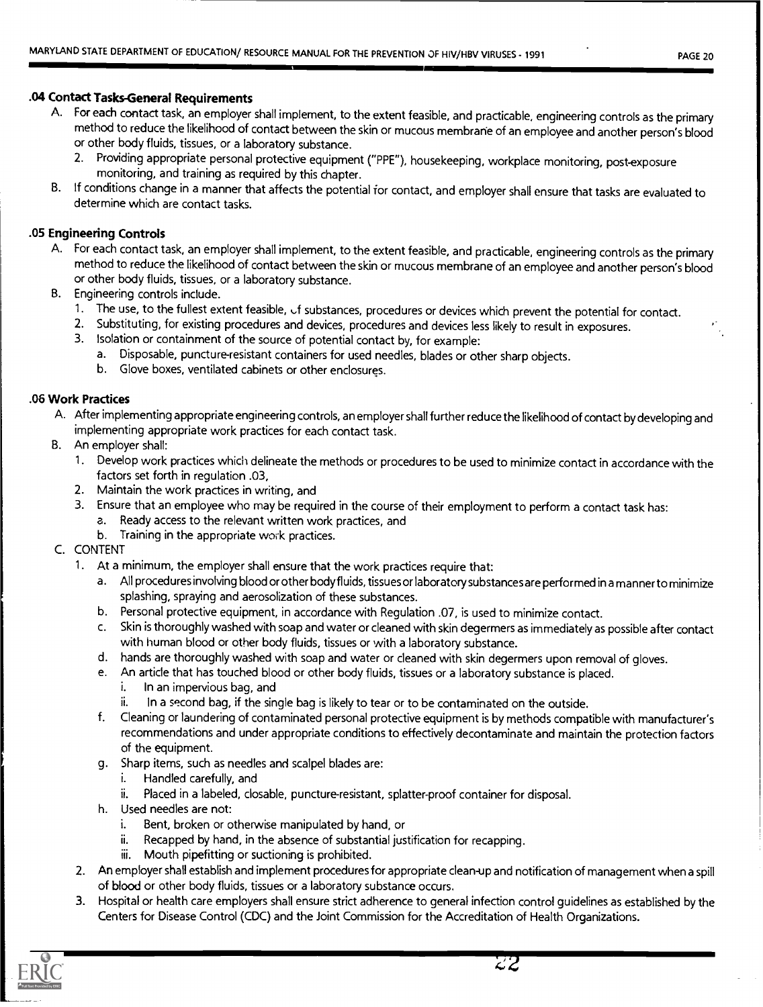## .04 Contact Tasks-General Requirements

- A. For each contact task, an employer shall implement, to the extent feasible, and practicable, engineering controls as the primary method to reduce the likelihood of contact between the skin or mucous membrane of an employee and another person's blood or other body fluids, tissues, or a laboratory substance.
	- 2. Providing appropriate personal protective equipment ("PPE"), housekeeping, workplace monitoring, post-exposure monitoring, and training as required by this chapter.
- B. If conditions change in a manner that affects the potential for contact, and employer shall ensure that tasks are evaluated to determine which are contact tasks.

### .05 Engineering Controls

- A. For each contact task, an employer shall implement, to the extent feasible, and practicable, engineering controls as the primary method to reduce the likelihood of contact between the skin or mucous membrane of an employee and another person's blood or other body fluids, tissues, or a laboratory substance.
- B. Engineering controls include.
	- 1. The use, to the fullest extent feasible, of substances, procedures or devices which prevent the potential for contact.
	- 2. Substituting, for existing procedures and devices, procedures and devices less likely to result in exposures.
	- 3. Isolation or containment of the source of potential contact by, for example:
		- a. Disposable, puncture-resistant containers for used needles, blades or other sharp objects.
		- b. Glove boxes, ventilated cabinets or other enclosures.

### .06 Work Practices

- A. After implementing appropriate engineering controls, an employer shall further reduce the likelihood of contact by developing and implementing appropriate work practices for each contact task.
- B. An employer shall:
	- 1. Develop work practices which delineate the methods or procedures to be used to minimize contact in accordance with the factors set forth in regulation .03,
	- 2. Maintain the work practices in writing, and
	- 3. Ensure that an employee who may be required in the course of their employment to perform a contact task has:
		- a. Ready access to the relevant written work practices, and
		- b. Training in the appropriate work practices.
- C. CONTENT
	- 1. At a minimum, the employer shall ensure that the work practices require that:
		- a. All procedures involving blood or other body fluids, tissues or laboratorysubstances are performed in a manner to minimize splashing, spraying and aerosolization of these substances.
		- b. Personal protective equipment, in accordance with Regulation .07, is used to minimize contact.
		- c. Skin is thoroughly washed with soap and water or cleaned with skin degermers as immediately as possible after contact with human blood or other body fluids, tissues or with a laboratory substance.
		- d. hands are thoroughly washed with soap and water or cleaned with skin degermers upon removal of gloves.
		- e. An article that has touched blood or other body fluids, tissues or a laboratory substance is placed.
			- i. In an impervious bag, and
			- ii. In a second bag, if the single bag is likely to tear or to be contaminated on the outside.
		- f. Cleaning or laundering of contaminated personal protective equipment is by methods compatible with manufacturer's recommendations and under appropriate conditions to effectively decontaminate and maintain the protection factors of the equipment.
		- g. Sharp items, such as needles and scalpel blades are:
			- i. Handled carefully, and
			- ii. Placed in a labeled, closable, puncture-resistant, splatter-proof container for disposal.
		- h. Used needles are not:
			- i. Bent, broken or otherwise manipulated by hand, or
			- ii. Recapped by hand, in the absence of substantial justification for recapping.
			- iii. Mouth pipefitting or suctioning is prohibited.
	- 2. An employer shall establish and implement procedures for appropriate clean-up and notification of management when a spill of blood or other body fluids, tissues or a laboratory substance occurs.
	- 3. Hospital or health care employers shall ensure strict adherence to general infection control guidelines as established by the Centers for Disease Control (CDC) and the Joint Commission for the Accreditation of Health Organizations.

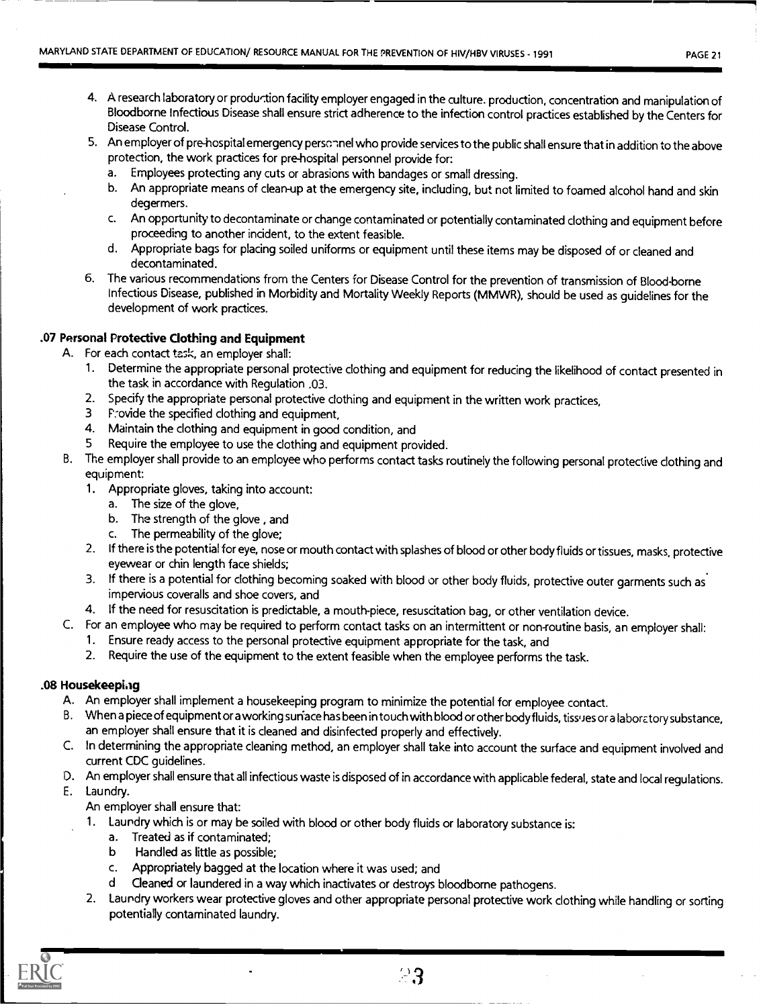- 4. A research laboratory or production facility employer engaged in the culture. production, concentration and manipulation of Bloodborne Infectious Disease shall ensure strict adherence to the infection control practices established by the Centers for Disease Control.
- 5. An employer of pre-hospital emergency personnel who provide services to the public shall ensure that in addition to the above protection, the work practices for pre-hospital personnel provide for:
	- a. Employees protecting any cuts or abrasions with bandages or small dressing.
	- b. An appropriate means of clean-up at the emergency site, including, but not limited to foamed alcohol hand and skin degermers.
	- c. An opportunity to decontaminate or change contaminated or potentially contaminated clothing and equipment before proceeding to another incident, to the extent feasible.
	- d. Appropriate bags for placing soiled uniforms or equipment until these items may be disposed of or cleaned and decontaminated.
- 6. The various recommendations from the Centers for Disease Control for the prevention of transmission of Blood-borne Infectious Disease, published in Morbidity and Mortality Weekly Reports (MMWR), should be used as guidelines for the development of work practices.

## .07 Personal Protective Clothing and Equipment

- A. For each contact task, an employer shall:
	- 1. Determine the appropriate personal protective clothing and equipment for reducing the likelihood of contact presented in the task in accordance with Regulation .03.
	- 2. Specify the appropriate personal protective clothing and equipment in the written work practices,
	- 3 Provide the specified clothing and equipment,
	- 4. Maintain the clothing and equipment in good condition, and
	- Require the employee to use the clothing and equipment provided.
- B. The employer shall provide to an employee who performs contact tasks routinely the following personal protective clothing and equipment:
	- 1. Appropriate gloves, taking into account:
		- a. The size of the glove,
		- b. The strength of the glove , and
		- c. The permeability of the glove;
	- 2. If there is the potential for eye, nose or mouth contact with splashes of blood or other body fluids or tissues, masks, protective eyewear or chin length face shields;
	- 3. If there is a potential for clothing becoming soaked with blood or other body fluids, protective outer garments such as impervious coveralls and shoe covers, and
	- 4. If the need for resuscitation is predictable, a mouth-piece, resuscitation bag, or other ventilation device.
- C. For an employee who may be required to perform contact tasks on an intermittent or non-routine basis, an employer shall:
	- 1. Ensure ready access to the personal protective equipment appropriate for the task, and
	- 2. Require the use of the equipment to the extent feasible when the employee performs the task.

### .08 Housekeeping

- A. An employer shall implement a housekeeping program to minimize the potential for employee contact.
- B. When a piece of equipment or a working surface has been in touch with blood or other body fluids, tissues or a laboratory substance, an employer shall ensure that it is cleaned and disinfected properly and effectively.
- C. In determining the appropriate cleaning method, an employer shall take into account the surface and equipment involved and current CDC guidelines.
- D. An employer shall ensure that all infectious waste is disposed of in accordance with applicable federal, state and local regulations.
- E. Laundry.

An employer shall ensure that:

- 1. Laundry which is or may be soiled with blood or other body fluids or laboratory substance is:
	- a. Treated as if contaminated;
	- b Handled as little as possible;
	- c. Appropriately bagged at the location where it was used; and
	- d Cleaned or laundered in a way which inactivates or destroys bloodborne pathogens.
- 2. Laundry workers wear protective gloves and other appropriate personal protective work clothing while handling or sorting potentially contaminated laundry.

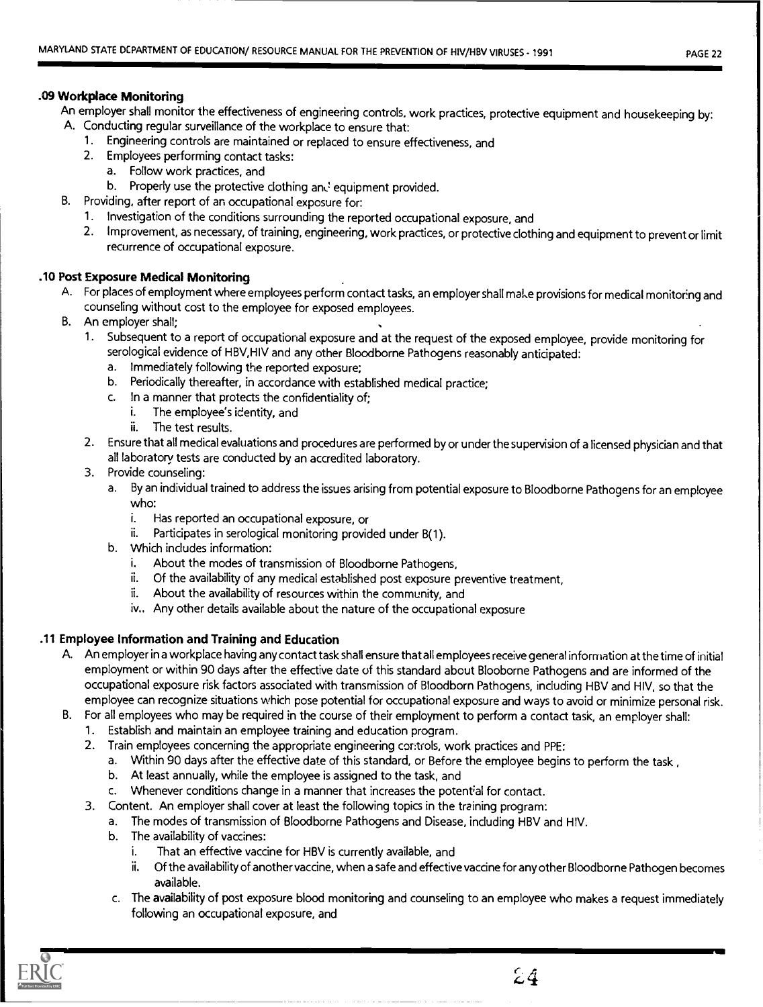### .09 Workplace Monitoring

An employer shall monitor the effectiveness of engineering controls, work practices, protective equipment and housekeeping by:

- A. Conducting regular surveillance of the workplace to ensure that:
	- 1. Engineering controls are maintained or replaced to ensure effectiveness, and
	- 2. Employees performing contact tasks:
		- a. Follow work practices, and
		- b. Properly use the protective clothing and equipment provided.
- B. Providing, after report of an occupational exposure for:
	- 1. Investigation of the conditions surrounding the reported occupational exposure, and
	- 2. Improvement, as necessary, of training, engineering, work practices, or protective clothing and equipment to prevent or limit recurrence of occupational exposure.

## .10 Post Exposure Medical Monitoring

- A. For places of employment where employees perform contact tasks, an employer shall make provisions for medical monitoring and counseling without cost to the employee for exposed employees.
- B. An employer shall;
	- 1. Subsequent to a report of occupational exposure and at the request of the exposed employee, provide monitoring for serological evidence of HBV,HIV and any other Bloodborne Pathogens reasonably anticipated:
		- a. Immediately following the reported exposure;
		- b. Periodically thereafter, in accordance with established medical practice;
		- c. In a manner that protects the confidentiality of;
			- i. The employee's identity, and
				- ii. The test results.
	- 2. Ensure that all medical evaluations and procedures are performed by or under the supervision of a licensed physician and that all laboratory tests are conducted by an accredited laboratory.
	- 3. Provide counseling:
		- a. By an individual trained to address the issues arising from potential exposure to Bloodborne Pathogens for an employee who:
			- i. Has reported an occupational exposure, or
			- ii. Participates in serological monitoring provided under B(1).
		- b. Which includes information:
			- i. About the modes of transmission of Bloodborne Pathogens,
			- ii. Of the availability of any medical established post exposure preventive treatment,
			- ii. About the availability of resources within the community, and
			- iv.. Any other details available about the nature of the occupational exposure

## .11 Employee Information and Training and Education

- A. An employer in a workplace having any contact task shall ensure that all employees receive general information at the time of initial employment or within 90 days after the effective date of this standard about Blooborne Pathogens and are informed of the occupational exposure risk factors associated with transmission of Bloodborn Pathogens, including HBV and HIV, so that the employee can recognize situations which pose potential for occupational exposure and ways to avoid or minimize personal risk.
- B. For all employees who may be required in the course of their employment to perform a contact task, an employer shall:
	- 1. Establish and maintain an employee training and education program.
	- 2. Train employees concerning the appropriate engineering controls, work practices and PPE:
		- a. Within 90 days after the effective date of this standard, or Before the employee begins to perform the task.
		- b. At least annually, while the employee is assigned to the task, and
		- c. Whenever conditions change in a manner that increases the potential for contact.
	- 3. Content. An employer shall cover at least the following topics in the training program:
		- a. The modes of transmission of Bloodborne Pathogens and Disease, including HBV and HIV.
		- b. The availability of vaccines:
			- i. That an effective vaccine for HBV is currently available, and
			- ii. Of the availability of another vaccine, when a safe and effective vaccine for any other Bloodborne Pathogen becomes available.
		- c. The availability of post exposure blood monitoring and counseling to an employee who makes a request immediately following an occupational exposure, and